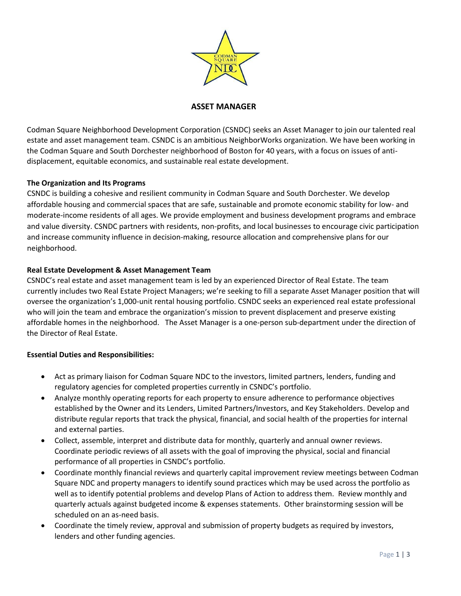

## **ASSET MANAGER**

Codman Square Neighborhood Development Corporation (CSNDC) seeks an Asset Manager to join our talented real estate and asset management team. CSNDC is an ambitious NeighborWorks organization. We have been working in the Codman Square and South Dorchester neighborhood of Boston for 40 years, with a focus on issues of antidisplacement, equitable economics, and sustainable real estate development.

## **The Organization and Its Programs**

CSNDC is building a cohesive and resilient community in Codman Square and South Dorchester. We develop affordable housing and commercial spaces that are safe, sustainable and promote economic stability for low- and moderate-income residents of all ages. We provide employment and business development programs and embrace and value diversity. CSNDC partners with residents, non-profits, and local businesses to encourage civic participation and increase community influence in decision-making, resource allocation and comprehensive plans for our neighborhood.

#### **Real Estate Development & Asset Management Team**

CSNDC's real estate and asset management team is led by an experienced Director of Real Estate. The team currently includes two Real Estate Project Managers; we're seeking to fill a separate Asset Manager position that will oversee the organization's 1,000-unit rental housing portfolio. CSNDC seeks an experienced real estate professional who will join the team and embrace the organization's mission to prevent displacement and preserve existing affordable homes in the neighborhood. The Asset Manager is a one-person sub-department under the direction of the Director of Real Estate.

#### **Essential Duties and Responsibilities:**

- Act as primary liaison for Codman Square NDC to the investors, limited partners, lenders, funding and regulatory agencies for completed properties currently in CSNDC's portfolio.
- Analyze monthly operating reports for each property to ensure adherence to performance objectives established by the Owner and its Lenders, Limited Partners/Investors, and Key Stakeholders. Develop and distribute regular reports that track the physical, financial, and social health of the properties for internal and external parties.
- Collect, assemble, interpret and distribute data for monthly, quarterly and annual owner reviews. Coordinate periodic reviews of all assets with the goal of improving the physical, social and financial performance of all properties in CSNDC's portfolio.
- Coordinate monthly financial reviews and quarterly capital improvement review meetings between Codman Square NDC and property managers to identify sound practices which may be used across the portfolio as well as to identify potential problems and develop Plans of Action to address them. Review monthly and quarterly actuals against budgeted income & expenses statements. Other brainstorming session will be scheduled on an as-need basis.
- Coordinate the timely review, approval and submission of property budgets as required by investors, lenders and other funding agencies.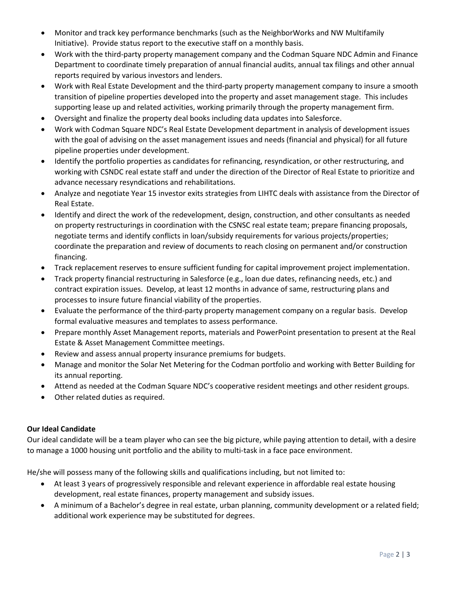- Monitor and track key performance benchmarks (such as the NeighborWorks and NW Multifamily Initiative). Provide status report to the executive staff on a monthly basis.
- Work with the third-party property management company and the Codman Square NDC Admin and Finance Department to coordinate timely preparation of annual financial audits, annual tax filings and other annual reports required by various investors and lenders.
- Work with Real Estate Development and the third-party property management company to insure a smooth transition of pipeline properties developed into the property and asset management stage. This includes supporting lease up and related activities, working primarily through the property management firm.
- Oversight and finalize the property deal books including data updates into Salesforce.
- Work with Codman Square NDC's Real Estate Development department in analysis of development issues with the goal of advising on the asset management issues and needs (financial and physical) for all future pipeline properties under development.
- Identify the portfolio properties as candidates for refinancing, resyndication, or other restructuring, and working with CSNDC real estate staff and under the direction of the Director of Real Estate to prioritize and advance necessary resyndications and rehabilitations.
- Analyze and negotiate Year 15 investor exits strategies from LIHTC deals with assistance from the Director of Real Estate.
- Identify and direct the work of the redevelopment, design, construction, and other consultants as needed on property restructurings in coordination with the CSNSC real estate team; prepare financing proposals, negotiate terms and identify conflicts in loan/subsidy requirements for various projects/properties; coordinate the preparation and review of documents to reach closing on permanent and/or construction financing.
- Track replacement reserves to ensure sufficient funding for capital improvement project implementation.
- Track property financial restructuring in Salesforce (e.g., loan due dates, refinancing needs, etc.) and contract expiration issues. Develop, at least 12 months in advance of same, restructuring plans and processes to insure future financial viability of the properties.
- Evaluate the performance of the third-party property management company on a regular basis. Develop formal evaluative measures and templates to assess performance.
- Prepare monthly Asset Management reports, materials and PowerPoint presentation to present at the Real Estate & Asset Management Committee meetings.
- Review and assess annual property insurance premiums for budgets.
- Manage and monitor the Solar Net Metering for the Codman portfolio and working with Better Building for its annual reporting.
- Attend as needed at the Codman Square NDC's cooperative resident meetings and other resident groups.
- Other related duties as required.

## **Our Ideal Candidate**

Our ideal candidate will be a team player who can see the big picture, while paying attention to detail, with a desire to manage a 1000 housing unit portfolio and the ability to multi-task in a face pace environment.

He/she will possess many of the following skills and qualifications including, but not limited to:

- At least 3 years of progressively responsible and relevant experience in affordable real estate housing development, real estate finances, property management and subsidy issues.
- A minimum of a Bachelor's degree in real estate, urban planning, community development or a related field; additional work experience may be substituted for degrees.